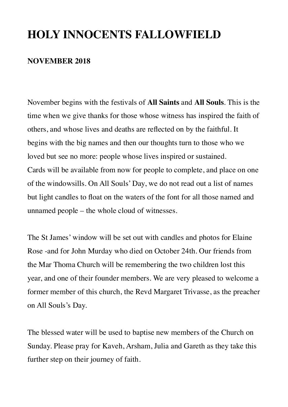# **HOLY INNOCENTS FALLOWFIELD**

### **NOVEMBER 2018**

November begins with the festivals of **All Saints** and **All Souls**. This is the time when we give thanks for those whose witness has inspired the faith of others, and whose lives and deaths are reflected on by the faithful. It begins with the big names and then our thoughts turn to those who we loved but see no more: people whose lives inspired or sustained. Cards will be available from now for people to complete, and place on one of the windowsills. On All Souls' Day, we do not read out a list of names but light candles to float on the waters of the font for all those named and unnamed people – the whole cloud of witnesses.

The St James' window will be set out with candles and photos for Elaine Rose -and for John Murday who died on October 24th. Our friends from the Mar Thoma Church will be remembering the two children lost this year, and one of their founder members. We are very pleased to welcome a former member of this church, the Revd Margaret Trivasse, as the preacher on All Souls's Day.

The blessed water will be used to baptise new members of the Church on Sunday. Please pray for Kaveh, Arsham, Julia and Gareth as they take this further step on their journey of faith.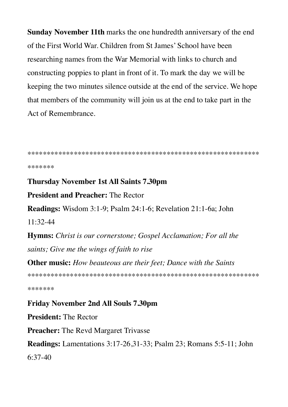Sunday November 11th marks the one hundredth anniversary of the end of the First World War, Children from St James' School have been researching names from the War Memorial with links to church and constructing poppies to plant in front of it. To mark the day we will be keeping the two minutes silence outside at the end of the service. We hope that members of the community will join us at the end to take part in the Act of Remembrance.

\*\*\*\*\*\*\*

#### **Thursday November 1st All Saints 7.30pm**

**President and Preacher: The Rector** 

**Readings:** Wisdom 3:1-9; Psalm 24:1-6; Revelation 21:1-6a; John  $11:32-44$ 

Hymns: Christ is our cornerstone; Gospel Acclamation; For all the saints; Give me the wings of faith to rise

**Other music:** How beauteous are their feet; Dance with the Saints

\*\*\*\*\*\*\*

**Friday November 2nd All Souls 7.30pm President: The Rector Preacher:** The Revd Margaret Trivasse **Readings:** Lamentations 3:17-26,31-33; Psalm 23; Romans 5:5-11; John  $6:37-40$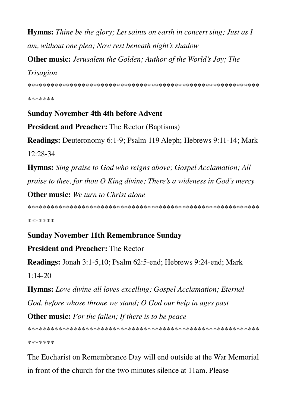**Hymns:** Thine be the glory; Let saints on earth in concert sing; Just as I am, without one plea; Now rest beneath night's shadow

**Other music:** Jerusalem the Golden; Author of the World's Joy; The

## Trisagion

\*\*\*\*\*\*\*

## **Sunday November 4th 4th before Advent**

**President and Preacher:** The Rector (Baptisms)

Readings: Deuteronomy 6:1-9; Psalm 119 Aleph; Hebrews 9:11-14; Mark  $12:28-34$ 

**Hymns:** Sing praise to God who reigns above; Gospel Acclamation; All praise to thee, for thou  $O$  King divine; There's a wideness in God's mercy

**Other music:** We turn to Christ alone

\*\*\*\*\*\*\*

# **Sunday November 11th Remembrance Sunday**

# **President and Preacher: The Rector**

**Readings:** Jonah 3:1-5,10; Psalm 62:5-end; Hebrews 9:24-end; Mark  $1:14-20$ 

**Hymns:** Love divine all loves excelling; Gospel Acclamation; Eternal God, before whose throne we stand; O God our help in ages past

**Other music:** For the fallen; If there is to be peace

\*\*\*\*\*\*\*

The Eucharist on Remembrance Day will end outside at the War Memorial in front of the church for the two minutes silence at 11am. Please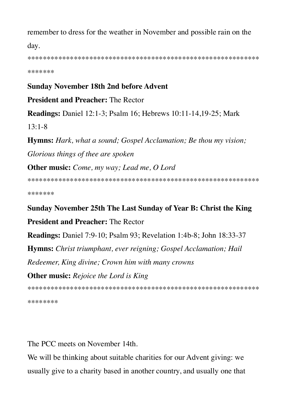remember to dress for the weather in November and possible rain on the day.

\*\*\*\*\*\*\*

#### **Sunday November 18th 2nd before Advent**

**President and Preacher: The Rector** 

**Readings:** Daniel 12:1-3; Psalm 16; Hebrews 10:11-14,19-25; Mark

 $13:1 - 8$ 

**Hymns:** Hark, what a sound; Gospel Acclamation; Be thou my vision; Glorious things of thee are spoken

**Other music:** Come, my way; Lead me, O Lord

\*\*\*\*\*\*\*

Sunday November 25th The Last Sunday of Year B: Christ the King

**President and Preacher: The Rector** 

**Readings:** Daniel 7:9-10; Psalm 93; Revelation 1:4b-8; John 18:33-37

**Hymns:** Christ triumphant, ever reigning; Gospel Acclamation; Hail

Redeemer, King divine; Crown him with many crowns

**Other music:** Rejoice the Lord is King

\*\*\*\*\*\*\*\*

The PCC meets on November 14th.

We will be thinking about suitable charities for our Advent giving: we usually give to a charity based in another country, and usually one that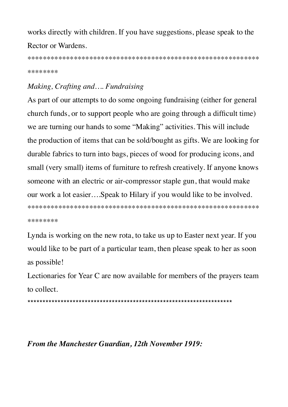works directly with children. If you have suggestions, please speak to the Rector or Wardens.

\*\*\*\*\*\*\*\*

## Making, Crafting and.... Fundraising

As part of our attempts to do some ongoing fundraising (either for general church funds, or to support people who are going through a difficult time) we are turning our hands to some "Making" activities. This will include the production of items that can be sold/bought as gifts. We are looking for durable fabrics to turn into bags, pieces of wood for producing icons, and small (very small) items of furniture to refresh creatively. If anyone knows someone with an electric or air-compressor staple gun, that would make our work a lot easier....Speak to Hilary if you would like to be involved. \*\*\*\*\*\*\*\*

Lynda is working on the new rota, to take us up to Easter next year. If you would like to be part of a particular team, then please speak to her as soon as possible!

Lectionaries for Year C are now available for members of the prayers team to collect.

### From the Manchester Guardian, 12th November 1919: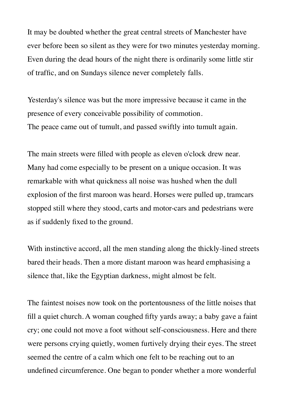It may be doubted whether the great central streets of Manchester have ever before been so silent as they were for two minutes yesterday morning. Even during the dead hours of the night there is ordinarily some little stir of traffic, and on Sundays silence never completely falls.

Yesterday's silence was but the more impressive because it came in the presence of every conceivable possibility of commotion. The peace came out of tumult, and passed swiftly into tumult again.

The main streets were filled with people as eleven o'clock drew near. Many had come especially to be present on a unique occasion. It was remarkable with what quickness all noise was hushed when the dull explosion of the first maroon was heard. Horses were pulled up, tramcars stopped still where they stood, carts and motor-cars and pedestrians were as if suddenly fixed to the ground.

With instinctive accord, all the men standing along the thickly-lined streets bared their heads. Then a more distant maroon was heard emphasising a silence that, like the Egyptian darkness, might almost be felt.

The faintest noises now took on the portentousness of the little noises that fill a quiet church. A woman coughed fifty yards away; a baby gave a faint cry; one could not move a foot without self-consciousness. Here and there were persons crying quietly, women furtively drying their eyes. The street seemed the centre of a calm which one felt to be reaching out to an undefined circumference. One began to ponder whether a more wonderful